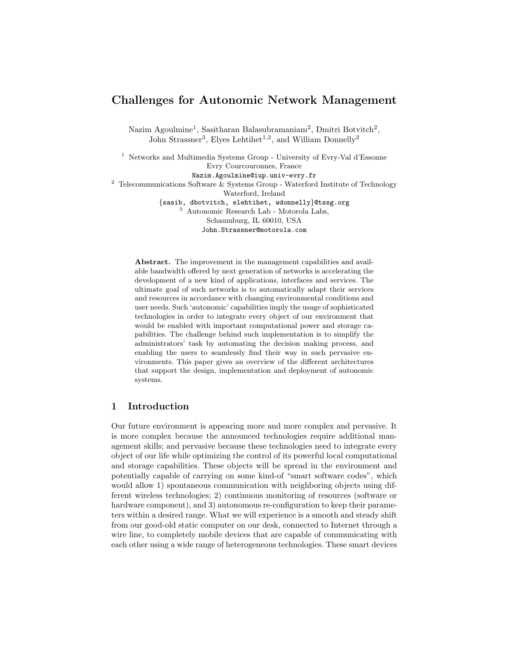# Challenges for Autonomic Network Management

[Nazim Agoulmine](mailto:Nazim.Agoulmine@iup.univ-evry.fr?subject=Paper accepted in MACE 2006)<sup>1</sup>, [Sasitharan Balasubramaniam](mailto:sasib@tssg.org?subject=Paper accepted in MACE 2006)<sup>2</sup>, [Dmitri Botvitch](mailto:dbotvitch@tssg.org?subject=Paper accepted in MACE 2006)<sup>2</sup>, [John Strassner](mailto:John.Strassner@motorola.com?subject=Paper accepted in MACE 2006)<sup>3</sup>, [Elyes Lehtihet](mailto:elehtihet@tssg.org?subject=Paper accepted in MACE 2006)<sup>1,2</sup>, and [William Donnelly](mailto:wdonnelly@tssg.org?subject=Paper accepted in MACE 2006)<sup>2</sup>

<sup>1</sup> [Networks and Multimedia Systems Group](http://www3.iie.cnam.fr/~lrsm/) - [University of Evry-Val d'Essonne](http://www.univ-evry.fr) Evry Courcouronnes, France Nazim.Agoulmine@iup.univ-evry.fr  $^2$  Telecommunications Software  $\&$  Systems Group - [Waterford Institute of Technology](http://www.wit.ie) Waterford, Ireland {sasib, dbotvitch, elehtihet, wdonnelly}@tssg.org <sup>3</sup> [Autonomic Research Lab - Motorola Labs,](http://www.motorola.com/content/0,,6584-9298,00.html) Schaumburg, IL 60010, USA John.Strassner@motorola.com

Abstract. The improvement in the management capabilities and available bandwidth offered by next generation of networks is accelerating the development of a new kind of applications, interfaces and services. The ultimate goal of such networks is to automatically adapt their services and resources in accordance with changing environmental conditions and user needs. Such 'autonomic' capabilities imply the usage of sophisticated technologies in order to integrate every object of our environment that would be enabled with important computational power and storage capabilities. The challenge behind such implementation is to simplify the administrators' task by automating the decision making process, and enabling the users to seamlessly find their way in such pervasive environments. This paper gives an overview of the different architectures that support the design, implementation and deployment of autonomic systems.

# 1 Introduction

Our future environment is appearing more and more complex and pervasive. It is more complex because the announced technologies require additional management skills; and pervasive because these technologies need to integrate every object of our life while optimizing the control of its powerful local computational and storage capabilities. These objects will be spread in the environment and potentially capable of carrying on some kind-of "smart software codes", which would allow 1) spontaneous communication with neighboring objects using different wireless technologies; 2) continuous monitoring of resources (software or hardware component), and 3) autonomous re-configuration to keep their parameters within a desired range. What we will experience is a smooth and steady shift from our good-old static computer on our desk, connected to Internet through a wire line, to completely mobile devices that are capable of communicating with each other using a wide range of heterogeneous technologies. These smart devices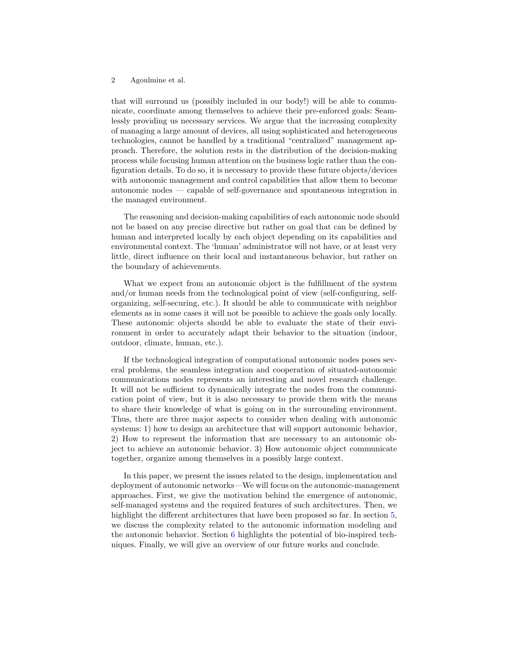that will surround us (possibly included in our body!) will be able to communicate, coordinate among themselves to achieve their pre-enforced goals: Seamlessly providing us necessary services. We argue that the increasing complexity of managing a large amount of devices, all using sophisticated and heterogeneous technologies, cannot be handled by a traditional "centralized" management approach. Therefore, the solution rests in the distribution of the decision-making process while focusing human attention on the business logic rather than the configuration details. To do so, it is necessary to provide these future objects/devices with autonomic management and control capabilities that allow them to become autonomic nodes — capable of self-governance and spontaneous integration in the managed environment.

The reasoning and decision-making capabilities of each autonomic node should not be based on any precise directive but rather on goal that can be defined by human and interpreted locally by each object depending on its capabilities and environmental context. The 'human' administrator will not have, or at least very little, direct influence on their local and instantaneous behavior, but rather on the boundary of achievements.

What we expect from an autonomic object is the fulfillment of the system and/or human needs from the technological point of view (self-configuring, selforganizing, self-securing, etc.). It should be able to communicate with neighbor elements as in some cases it will not be possible to achieve the goals only locally. These autonomic objects should be able to evaluate the state of their environment in order to accurately adapt their behavior to the situation (indoor, outdoor, climate, human, etc.).

If the technological integration of computational autonomic nodes poses several problems, the seamless integration and cooperation of situated-autonomic communications nodes represents an interesting and novel research challenge. It will not be sufficient to dynamically integrate the nodes from the communication point of view, but it is also necessary to provide them with the means to share their knowledge of what is going on in the surrounding environment. Thus, there are three major aspects to consider when dealing with autonomic systems: 1) how to design an architecture that will support autonomic behavior, 2) How to represent the information that are necessary to an autonomic object to achieve an autonomic behavior. 3) How autonomic object communicate together, organize among themselves in a possibly large context.

In this paper, we present the issues related to the design, implementation and deployment of autonomic networks—We will focus on the autonomic-management approaches. First, we give the motivation behind the emergence of autonomic, self-managed systems and the required features of such architectures. Then, we highlight the different architectures that have been proposed so far. In section [5,](#page-8-0) we discuss the complexity related to the autonomic information modeling and the autonomic behavior. Section [6](#page-10-0) highlights the potential of bio-inspired techniques. Finally, we will give an overview of our future works and conclude.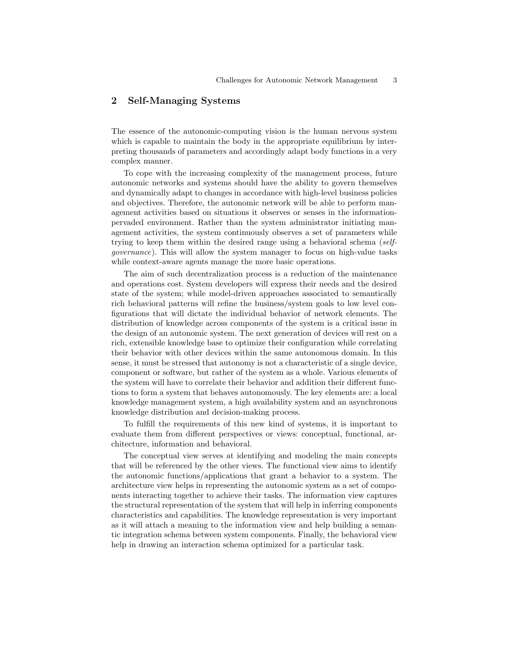# 2 Self-Managing Systems

The essence of the autonomic-computing vision is the human nervous system which is capable to maintain the body in the appropriate equilibrium by interpreting thousands of parameters and accordingly adapt body functions in a very complex manner.

To cope with the increasing complexity of the management process, future autonomic networks and systems should have the ability to govern themselves and dynamically adapt to changes in accordance with high-level business policies and objectives. Therefore, the autonomic network will be able to perform management activities based on situations it observes or senses in the informationpervaded environment. Rather than the system administrator initiating management activities, the system continuously observes a set of parameters while trying to keep them within the desired range using a behavioral schema (selfgovernance). This will allow the system manager to focus on high-value tasks while context-aware agents manage the more basic operations.

The aim of such decentralization process is a reduction of the maintenance and operations cost. System developers will express their needs and the desired state of the system; while model-driven approaches associated to semantically rich behavioral patterns will refine the business/system goals to low level configurations that will dictate the individual behavior of network elements. The distribution of knowledge across components of the system is a critical issue in the design of an autonomic system. The next generation of devices will rest on a rich, extensible knowledge base to optimize their configuration while correlating their behavior with other devices within the same autonomous domain. In this sense, it must be stressed that autonomy is not a characteristic of a single device, component or software, but rather of the system as a whole. Various elements of the system will have to correlate their behavior and addition their different functions to form a system that behaves autonomously. The key elements are: a local knowledge management system, a high availability system and an asynchronous knowledge distribution and decision-making process.

To fulfill the requirements of this new kind of systems, it is important to evaluate them from different perspectives or views: conceptual, functional, architecture, information and behavioral.

The conceptual view serves at identifying and modeling the main concepts that will be referenced by the other views. The functional view aims to identify the autonomic functions/applications that grant a behavior to a system. The architecture view helps in representing the autonomic system as a set of components interacting together to achieve their tasks. The information view captures the structural representation of the system that will help in inferring components characteristics and capabilities. The knowledge representation is very important as it will attach a meaning to the information view and help building a semantic integration schema between system components. Finally, the behavioral view help in drawing an interaction schema optimized for a particular task.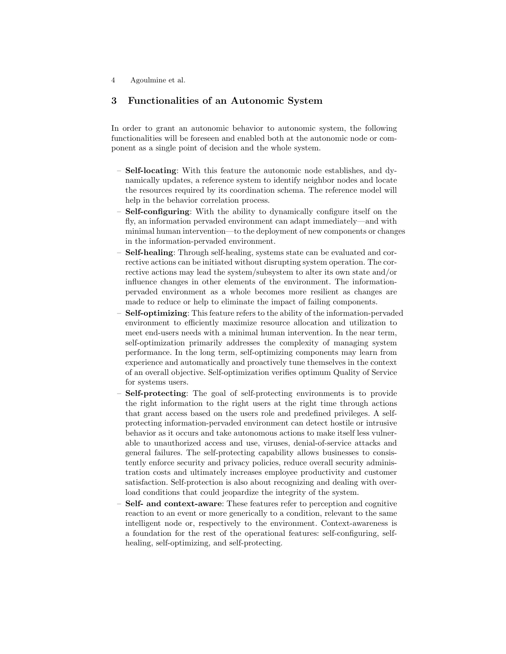# <span id="page-3-0"></span>3 Functionalities of an Autonomic System

In order to grant an autonomic behavior to autonomic system, the following functionalities will be foreseen and enabled both at the autonomic node or component as a single point of decision and the whole system.

- Self-locating: With this feature the autonomic node establishes, and dynamically updates, a reference system to identify neighbor nodes and locate the resources required by its coordination schema. The reference model will help in the behavior correlation process.
- Self-configuring: With the ability to dynamically configure itself on the fly, an information pervaded environment can adapt immediately—and with minimal human intervention—to the deployment of new components or changes in the information-pervaded environment.
- Self-healing: Through self-healing, systems state can be evaluated and corrective actions can be initiated without disrupting system operation. The corrective actions may lead the system/subsystem to alter its own state and/or influence changes in other elements of the environment. The informationpervaded environment as a whole becomes more resilient as changes are made to reduce or help to eliminate the impact of failing components.
- Self-optimizing: This feature refers to the ability of the information-pervaded environment to efficiently maximize resource allocation and utilization to meet end-users needs with a minimal human intervention. In the near term, self-optimization primarily addresses the complexity of managing system performance. In the long term, self-optimizing components may learn from experience and automatically and proactively tune themselves in the context of an overall objective. Self-optimization verifies optimum Quality of Service for systems users.
- Self-protecting: The goal of self-protecting environments is to provide the right information to the right users at the right time through actions that grant access based on the users role and predefined privileges. A selfprotecting information-pervaded environment can detect hostile or intrusive behavior as it occurs and take autonomous actions to make itself less vulnerable to unauthorized access and use, viruses, denial-of-service attacks and general failures. The self-protecting capability allows businesses to consistently enforce security and privacy policies, reduce overall security administration costs and ultimately increases employee productivity and customer satisfaction. Self-protection is also about recognizing and dealing with overload conditions that could jeopardize the integrity of the system.
- Self- and context-aware: These features refer to perception and cognitive reaction to an event or more generically to a condition, relevant to the same intelligent node or, respectively to the environment. Context-awareness is a foundation for the rest of the operational features: self-configuring, selfhealing, self-optimizing, and self-protecting.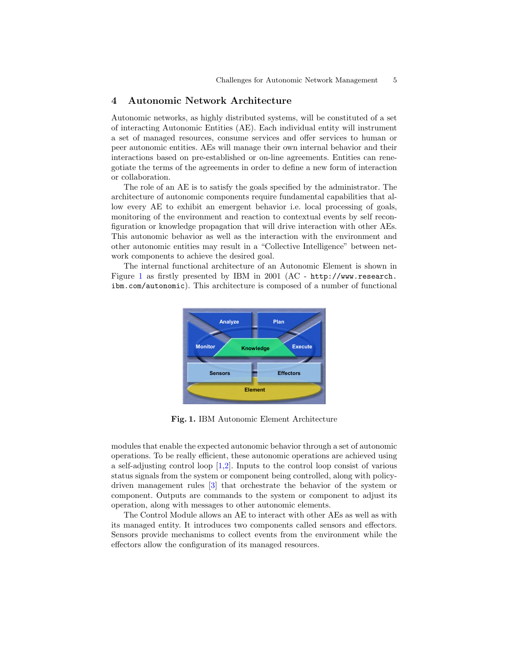# <span id="page-4-1"></span>4 Autonomic Network Architecture

Autonomic networks, as highly distributed systems, will be constituted of a set of interacting Autonomic Entities (AE). Each individual entity will instrument a set of managed resources, consume services and offer services to human or peer autonomic entities. AEs will manage their own internal behavior and their interactions based on pre-established or on-line agreements. Entities can renegotiate the terms of the agreements in order to define a new form of interaction or collaboration.

The role of an AE is to satisfy the goals specified by the administrator. The architecture of autonomic components require fundamental capabilities that allow every AE to exhibit an emergent behavior i.e. local processing of goals, monitoring of the environment and reaction to contextual events by self reconfiguration or knowledge propagation that will drive interaction with other AEs. This autonomic behavior as well as the interaction with the environment and other autonomic entities may result in a "Collective Intelligence" between network components to achieve the desired goal.

The internal functional architecture of an Autonomic Element is shown in Figure [1](#page-4-0) as firstly presented by IBM in 2001 (AC - [http://www.research.](http://www.research.ibm.com/autonomic) [ibm.com/autonomic](http://www.research.ibm.com/autonomic)). This architecture is composed of a number of functional



<span id="page-4-0"></span>Fig. 1. IBM Autonomic Element Architecture

modules that enable the expected autonomic behavior through a set of autonomic operations. To be really efficient, these autonomic operations are achieved using a self-adjusting control loop [\[1](#page-18-0)[,2\]](#page-19-0). Inputs to the control loop consist of various status signals from the system or component being controlled, along with policydriven management rules [\[3\]](#page-19-1) that orchestrate the behavior of the system or component. Outputs are commands to the system or component to adjust its operation, along with messages to other autonomic elements.

The Control Module allows an AE to interact with other AEs as well as with its managed entity. It introduces two components called sensors and effectors. Sensors provide mechanisms to collect events from the environment while the effectors allow the configuration of its managed resources.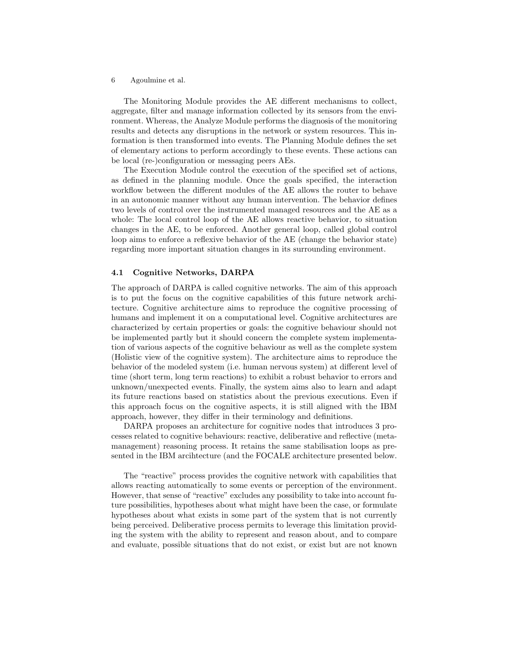The Monitoring Module provides the AE different mechanisms to collect, aggregate, filter and manage information collected by its sensors from the environment. Whereas, the Analyze Module performs the diagnosis of the monitoring results and detects any disruptions in the network or system resources. This information is then transformed into events. The Planning Module defines the set of elementary actions to perform accordingly to these events. These actions can be local (re-)configuration or messaging peers AEs.

The Execution Module control the execution of the specified set of actions, as defined in the planning module. Once the goals specified, the interaction workflow between the different modules of the AE allows the router to behave in an autonomic manner without any human intervention. The behavior defines two levels of control over the instrumented managed resources and the AE as a whole: The local control loop of the AE allows reactive behavior, to situation changes in the AE, to be enforced. Another general loop, called global control loop aims to enforce a reflexive behavior of the AE (change the behavior state) regarding more important situation changes in its surrounding environment.

#### 4.1 Cognitive Networks, DARPA

The approach of DARPA is called cognitive networks. The aim of this approach is to put the focus on the cognitive capabilities of this future network architecture. Cognitive architecture aims to reproduce the cognitive processing of humans and implement it on a computational level. Cognitive architectures are characterized by certain properties or goals: the cognitive behaviour should not be implemented partly but it should concern the complete system implementation of various aspects of the cognitive behaviour as well as the complete system (Holistic view of the cognitive system). The architecture aims to reproduce the behavior of the modeled system (i.e. human nervous system) at different level of time (short term, long term reactions) to exhibit a robust behavior to errors and unknown/unexpected events. Finally, the system aims also to learn and adapt its future reactions based on statistics about the previous executions. Even if this approach focus on the cognitive aspects, it is still aligned with the IBM approach, however, they differ in their terminology and definitions.

DARPA proposes an architecture for cognitive nodes that introduces 3 processes related to cognitive behaviours: reactive, deliberative and reflective (metamanagement) reasoning process. It retains the same stabilisation loops as presented in the IBM arcihtecture (and the FOCALE architecture presented below.

The "reactive" process provides the cognitive network with capabilities that allows reacting automatically to some events or perception of the environment. However, that sense of "reactive" excludes any possibility to take into account future possibilities, hypotheses about what might have been the case, or formulate hypotheses about what exists in some part of the system that is not currently being perceived. Deliberative process permits to leverage this limitation providing the system with the ability to represent and reason about, and to compare and evaluate, possible situations that do not exist, or exist but are not known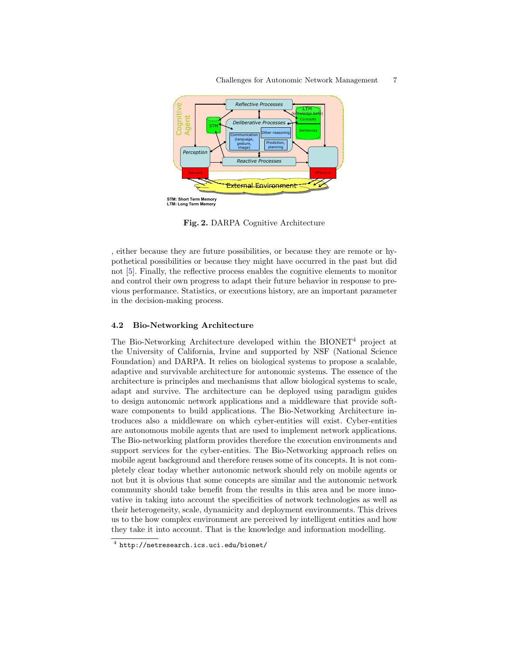

Fig. 2. DARPA Cognitive Architecture

, either because they are future possibilities, or because they are remote or hypothetical possibilities or because they might have occurred in the past but did not [\[5\]](#page-19-2). Finally, the reflective process enables the cognitive elements to monitor and control their own progress to adapt their future behavior in response to previous performance. Statistics, or executions history, are an important parameter in the decision-making process.

#### 4.2 Bio-Networking Architecture

The Bio-Networking Architecture developed within the  $BIONET<sup>4</sup>$  $BIONET<sup>4</sup>$  $BIONET<sup>4</sup>$  project at the University of California, Irvine and supported by NSF (National Science Foundation) and DARPA. It relies on biological systems to propose a scalable, adaptive and survivable architecture for autonomic systems. The essence of the architecture is principles and mechanisms that allow biological systems to scale, adapt and survive. The architecture can be deployed using paradigm guides to design autonomic network applications and a middleware that provide software components to build applications. The Bio-Networking Architecture introduces also a middleware on which cyber-entities will exist. Cyber-entities are autonomous mobile agents that are used to implement network applications. The Bio-networking platform provides therefore the execution environments and support services for the cyber-entities. The Bio-Networking approach relies on mobile agent background and therefore reuses some of its concepts. It is not completely clear today whether autonomic network should rely on mobile agents or not but it is obvious that some concepts are similar and the autonomic network community should take benefit from the results in this area and be more innovative in taking into account the specificities of network technologies as well as their heterogeneity, scale, dynamicity and deployment environments. This drives us to the how complex environment are perceived by intelligent entities and how they take it into account. That is the knowledge and information modelling.

<span id="page-6-0"></span><sup>4</sup> <http://netresearch.ics.uci.edu/bionet/>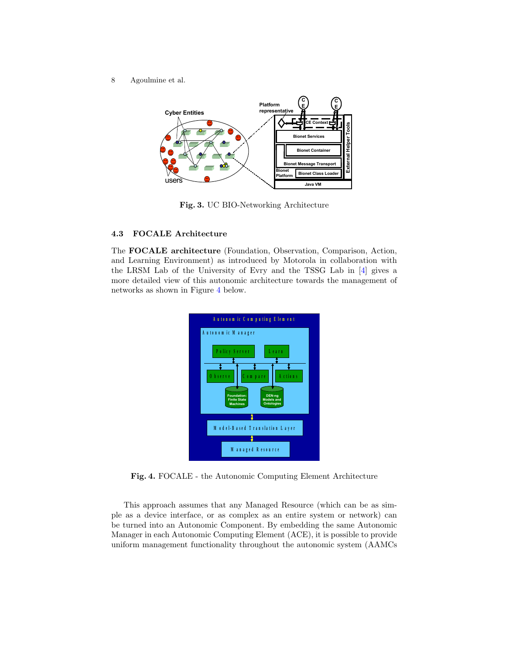

Fig. 3. UC BIO-Networking Architecture

# 4.3 FOCALE Architecture

The FOCALE architecture (Foundation, Observation, Comparison, Action, and Learning Environment) as introduced by Motorola in collaboration with the LRSM Lab of the University of Evry and the TSSG Lab in [\[4\]](#page-19-3) gives a more detailed view of this autonomic architecture towards the management of networks as shown in Figure [4](#page-7-0) below.



<span id="page-7-0"></span>Fig. 4. FOCALE - the Autonomic Computing Element Architecture

This approach assumes that any Managed Resource (which can be as simple as a device interface, or as complex as an entire system or network) can be turned into an Autonomic Component. By embedding the same Autonomic Manager in each Autonomic Computing Element (ACE), it is possible to provide uniform management functionality throughout the autonomic system (AAMCs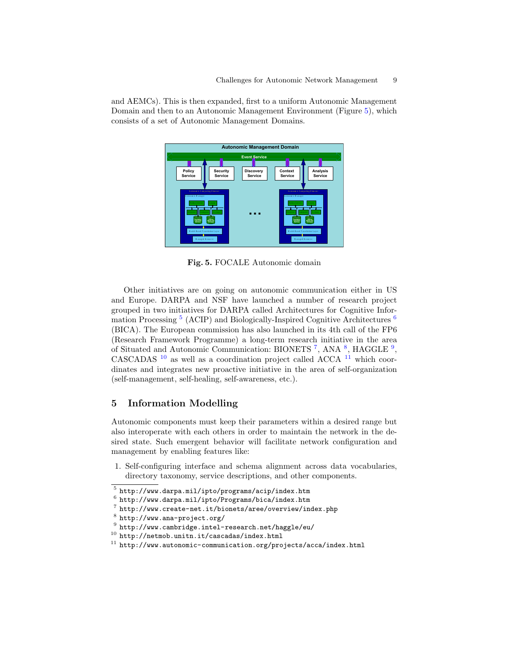and AEMCs). This is then expanded, first to a uniform Autonomic Management Domain and then to an Autonomic Management Environment (Figure [5\)](#page-8-1), which consists of a set of Autonomic Management Domains.



<span id="page-8-1"></span>Fig. 5. FOCALE Autonomic domain

Other initiatives are on going on autonomic communication either in US and Europe. DARPA and NSF have launched a number of research project grouped in two initiatives for DARPA called Architectures for Cognitive Infor-mation Processing<sup>[5](#page-8-2)</sup> (ACIP) and Biologically-Inspired Cognitive Architectures<sup>[6](#page-8-3)</sup> (BICA). The European commission has also launched in its 4th call of the FP6 (Research Framework Programme) a long-term research initiative in the area of Situated and Autonomic Communication: BIONETS<sup>[7](#page-8-4)</sup>, ANA<sup>[8](#page-8-5)</sup>, HAGGLE<sup>[9](#page-8-6)</sup>, CASCADAS [10](#page-8-7) as well as a coordination project called ACCA [11](#page-8-8) which coordinates and integrates new proactive initiative in the area of self-organization (self-management, self-healing, self-awareness, etc.).

# <span id="page-8-0"></span>5 Information Modelling

Autonomic components must keep their parameters within a desired range but also interoperate with each others in order to maintain the network in the desired state. Such emergent behavior will facilitate network configuration and management by enabling features like:

- 1. Self-configuring interface and schema alignment across data vocabularies, directory taxonomy, service descriptions, and other components.
- <span id="page-8-2"></span> $^5$ <http://www.darpa.mil/ipto/programs/acip/index.htm>
- <span id="page-8-3"></span> $^6$  <http://www.darpa.mil/ipto/Programs/bica/index.htm>
- <span id="page-8-4"></span> $7$  <http://www.create-net.it/bionets/aree/overview/index.php>
- <span id="page-8-5"></span> $^8$  <http://www.ana-project.org/>
- <span id="page-8-6"></span> $^9$  <http://www.cambridge.intel-research.net/haggle/eu/>
- <span id="page-8-7"></span> $^{10}$ <http://netmob.unitn.it/cascadas/index.html>
- <span id="page-8-8"></span> $11$  <http://www.autonomic-communication.org/projects/acca/index.html>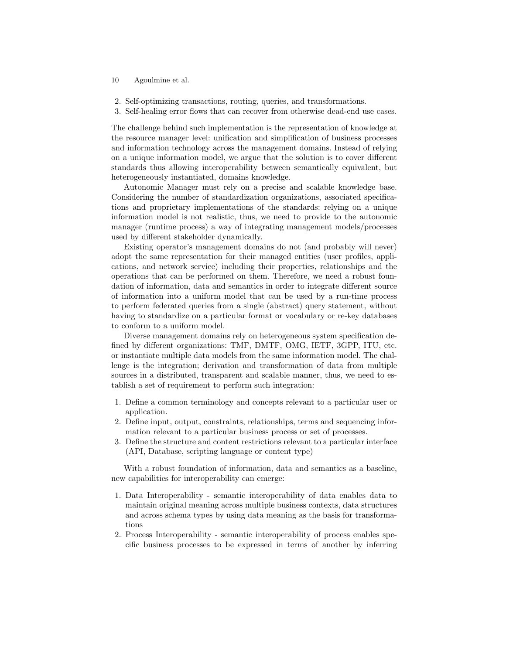- 10 Agoulmine et al.
- 2. Self-optimizing transactions, routing, queries, and transformations.
- 3. Self-healing error flows that can recover from otherwise dead-end use cases.

The challenge behind such implementation is the representation of knowledge at the resource manager level: unification and simplification of business processes and information technology across the management domains. Instead of relying on a unique information model, we argue that the solution is to cover different standards thus allowing interoperability between semantically equivalent, but heterogeneously instantiated, domains knowledge.

Autonomic Manager must rely on a precise and scalable knowledge base. Considering the number of standardization organizations, associated specifications and proprietary implementations of the standards: relying on a unique information model is not realistic, thus, we need to provide to the autonomic manager (runtime process) a way of integrating management models/processes used by different stakeholder dynamically.

Existing operator's management domains do not (and probably will never) adopt the same representation for their managed entities (user profiles, applications, and network service) including their properties, relationships and the operations that can be performed on them. Therefore, we need a robust foundation of information, data and semantics in order to integrate different source of information into a uniform model that can be used by a run-time process to perform federated queries from a single (abstract) query statement, without having to standardize on a particular format or vocabulary or re-key databases to conform to a uniform model.

Diverse management domains rely on heterogeneous system specification defined by different organizations: TMF, DMTF, OMG, IETF, 3GPP, ITU, etc. or instantiate multiple data models from the same information model. The challenge is the integration; derivation and transformation of data from multiple sources in a distributed, transparent and scalable manner, thus, we need to establish a set of requirement to perform such integration:

- 1. Define a common terminology and concepts relevant to a particular user or application.
- 2. Define input, output, constraints, relationships, terms and sequencing information relevant to a particular business process or set of processes.
- 3. Define the structure and content restrictions relevant to a particular interface (API, Database, scripting language or content type)

With a robust foundation of information, data and semantics as a baseline, new capabilities for interoperability can emerge:

- 1. Data Interoperability semantic interoperability of data enables data to maintain original meaning across multiple business contexts, data structures and across schema types by using data meaning as the basis for transformations
- 2. Process Interoperability semantic interoperability of process enables specific business processes to be expressed in terms of another by inferring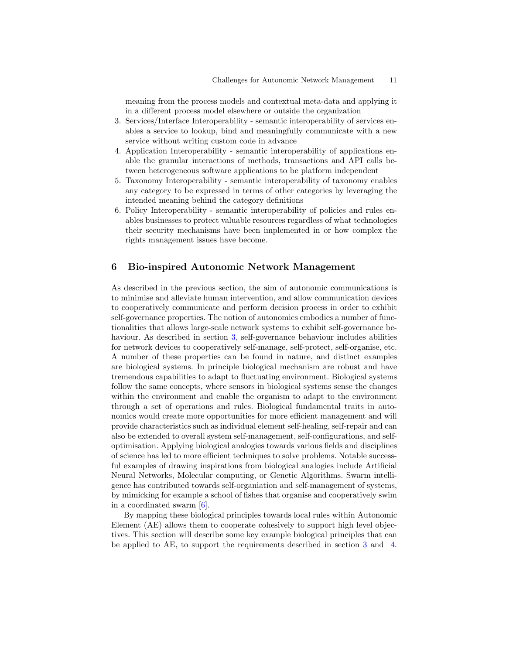meaning from the process models and contextual meta-data and applying it in a different process model elsewhere or outside the organization

- 3. Services/Interface Interoperability semantic interoperability of services enables a service to lookup, bind and meaningfully communicate with a new service without writing custom code in advance
- 4. Application Interoperability semantic interoperability of applications enable the granular interactions of methods, transactions and API calls between heterogeneous software applications to be platform independent
- 5. Taxonomy Interoperability semantic interoperability of taxonomy enables any category to be expressed in terms of other categories by leveraging the intended meaning behind the category definitions
- 6. Policy Interoperability semantic interoperability of policies and rules enables businesses to protect valuable resources regardless of what technologies their security mechanisms have been implemented in or how complex the rights management issues have become.

## <span id="page-10-0"></span>6 Bio-inspired Autonomic Network Management

As described in the previous section, the aim of autonomic communications is to minimise and alleviate human intervention, and allow communication devices to cooperatively communicate and perform decision process in order to exhibit self-governance properties. The notion of autonomics embodies a number of functionalities that allows large-scale network systems to exhibit self-governance behaviour. As described in section [3,](#page-3-0) self-governance behaviour includes abilities for network devices to cooperatively self-manage, self-protect, self-organise, etc. A number of these properties can be found in nature, and distinct examples are biological systems. In principle biological mechanism are robust and have tremendous capabilities to adapt to fluctuating environment. Biological systems follow the same concepts, where sensors in biological systems sense the changes within the environment and enable the organism to adapt to the environment through a set of operations and rules. Biological fundamental traits in autonomics would create more opportunities for more efficient management and will provide characteristics such as individual element self-healing, self-repair and can also be extended to overall system self-management, self-configurations, and selfoptimisation. Applying biological analogies towards various fields and disciplines of science has led to more efficient techniques to solve problems. Notable successful examples of drawing inspirations from biological analogies include Artificial Neural Networks, Molecular computing, or Genetic Algorithms. Swarm intelligence has contributed towards self-organiation and self-management of systems, by mimicking for example a school of fishes that organise and cooperatively swim in a coordinated swarm [\[6\]](#page-19-4).

By mapping these biological principles towards local rules within Autonomic Element (AE) allows them to cooperate cohesively to support high level objectives. This section will describe some key example biological principles that can be applied to AE, to support the requirements described in section [3](#page-3-0) and [4.](#page-4-1)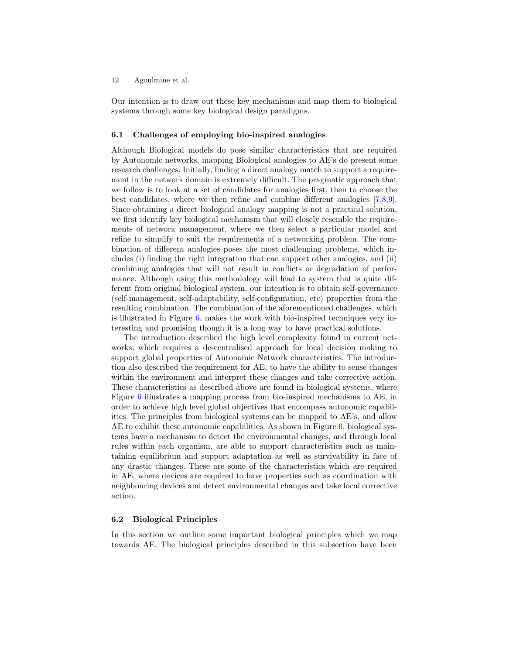Our intention is to draw out these key mechanisms and map them to biological systems through some key biological design paradigms.

#### 6.1 Challenges of employing bio-inspired analogies

Although Biological models do pose similar characteristics that are required by Autonomic networks, mapping Biological analogies to AE's do present some research challenges. Initially, finding a direct analogy match to support a requirement in the network domain is extremely difficult. The pragmatic approach that we follow is to look at a set of candidates for analogies first, then to choose the best candidates, where we then refine and combine different analogies [\[7,](#page-19-5)[8](#page-19-6)[,9\]](#page-19-7). Since obtaining a direct biological analogy mapping is not a practical solution, we first identify key biological mechanism that will closely resemble the requirements of network management, where we then select a particular model and refine to simplify to suit the requirements of a networking problem. The combination of different analogies poses the most challenging problems, which includes (i) finding the right integration that can support other analogies, and (ii) combining analogies that will not result in conflicts or degradation of performance. Although using this methodology will lead to system that is quite different from original biological system, our intention is to obtain self-governance (self-management, self-adaptability, self-configuration, etc) properties from the resulting combination. The combination of the aforementioned challenges, which is illustrated in Figure [6,](#page-12-0) makes the work with bio-inspired techniques very interesting and promising though it is a long way to have practical solutions.

The introduction described the high level complexity found in current networks, which requires a de-centralised approach for local decision making to support global properties of Autonomic Network characteristics. The introduction also described the requirement for AE, to have the ability to sense changes within the environment and interpret these changes and take corrective action. These characteristics as described above are found in biological systems, where Figure [6](#page-12-0) illustrates a mapping process from bio-inspired mechanisms to AE, in order to achieve high level global objectives that encompass autonomic capabilities. The principles from biological systems can be mapped to AE's, and allow AE to exhibit these autonomic capabilities. As shown in Figure  $6$ , biological systems have a mechanism to detect the environmental changes, and through local rules within each organism, are able to support characteristics such as maintaining equilibrium and support adaptation as well as survivability in face of any drastic changes. These are some of the characteristics which are required in AE, where devices are required to have properties such as coordination with neighbouring devices and detect environmental changes and take local corrective action.

### 6.2 Biological Principles

In this section we outline some important biological principles which we map towards AE. The biological principles described in this subsection have been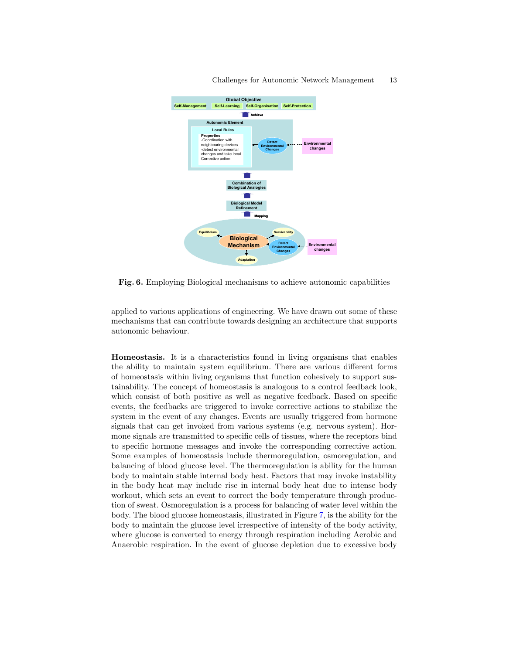

<span id="page-12-0"></span>Fig. 6. Employing Biological mechanisms to achieve autonomic capabilities

applied to various applications of engineering. We have drawn out some of these mechanisms that can contribute towards designing an architecture that supports autonomic behaviour.

Homeostasis. It is a characteristics found in living organisms that enables the ability to maintain system equilibrium. There are various different forms of homeostasis within living organisms that function cohesively to support sustainability. The concept of homeostasis is analogous to a control feedback look, which consist of both positive as well as negative feedback. Based on specific events, the feedbacks are triggered to invoke corrective actions to stabilize the system in the event of any changes. Events are usually triggered from hormone signals that can get invoked from various systems (e.g. nervous system). Hormone signals are transmitted to specific cells of tissues, where the receptors bind to specific hormone messages and invoke the corresponding corrective action. Some examples of homeostasis include thermoregulation, osmoregulation, and balancing of blood glucose level. The thermoregulation is ability for the human body to maintain stable internal body heat. Factors that may invoke instability in the body heat may include rise in internal body heat due to intense body workout, which sets an event to correct the body temperature through production of sweat. Osmoregulation is a process for balancing of water level within the body. The blood glucose homeostasis, illustrated in Figure [7,](#page-13-0) is the ability for the body to maintain the glucose level irrespective of intensity of the body activity, where glucose is converted to energy through respiration including Aerobic and Anaerobic respiration. In the event of glucose depletion due to excessive body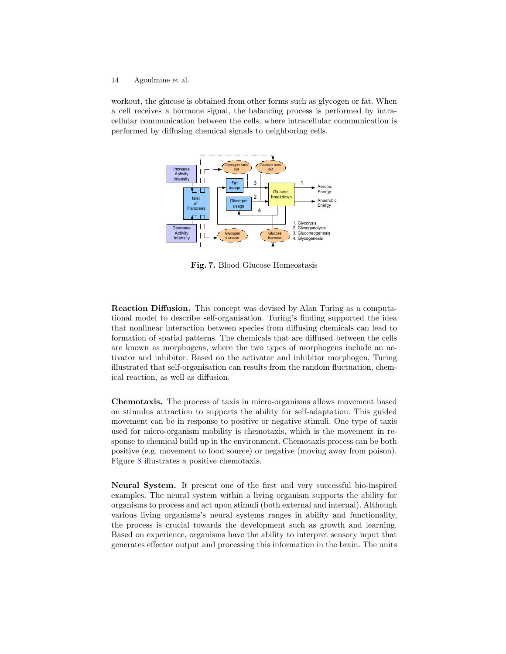workout, the glucose is obtained from other forms such as glycogen or fat. When a cell receives a hormone signal, the balancing process is performed by intracellular communication between the cells, where intracellular communication is performed by diffusing chemical signals to neighboring cells.



<span id="page-13-0"></span>Fig. 7. Blood Glucose Homeostasis

Reaction Diffusion. This concept was devised by Alan Turing as a computational model to describe self-organisation. Turing's finding supported the idea that nonlinear interaction between species from diffusing chemicals can lead to formation of spatial patterns. The chemicals that are diffused between the cells are known as morphogens, where the two types of morphogens include an activator and inhibitor. Based on the activator and inhibitor morphogen, Turing illustrated that self-organisation can results from the random fluctuation, chemical reaction, as well as diffusion.

Chemotaxis. The process of taxis in micro-organisms allows movement based on stimulus attraction to supports the ability for self-adaptation. This guided movement can be in response to positive or negative stimuli. One type of taxis used for micro-organism mobility is chemotaxis, which is the movement in response to chemical build up in the environment. Chemotaxis process can be both positive (e.g. movement to food source) or negative (moving away from poison). Figure [8](#page-14-0) illustrates a positive chemotaxis.

Neural System. It present one of the first and very successful bio-inspired examples. The neural system within a living organism supports the ability for organisms to process and act upon stimuli (both external and internal). Although various living organisms's neural systems ranges in ability and functionality, the process is crucial towards the development such as growth and learning. Based on experience, organisms have the ability to interpret sensory input that generates effector output and processing this information in the brain. The units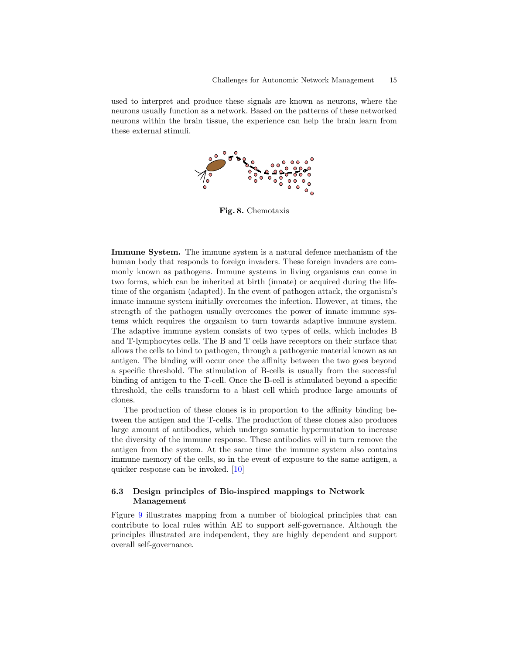used to interpret and produce these signals are known as neurons, where the neurons usually function as a network. Based on the patterns of these networked neurons within the brain tissue, the experience can help the brain learn from these external stimuli.



<span id="page-14-0"></span>Fig. 8. Chemotaxis

Immune System. The immune system is a natural defence mechanism of the human body that responds to foreign invaders. These foreign invaders are commonly known as pathogens. Immune systems in living organisms can come in two forms, which can be inherited at birth (innate) or acquired during the lifetime of the organism (adapted). In the event of pathogen attack, the organism's innate immune system initially overcomes the infection. However, at times, the strength of the pathogen usually overcomes the power of innate immune systems which requires the organism to turn towards adaptive immune system. The adaptive immune system consists of two types of cells, which includes B and T-lymphocytes cells. The B and T cells have receptors on their surface that allows the cells to bind to pathogen, through a pathogenic material known as an antigen. The binding will occur once the affinity between the two goes beyond a specific threshold. The stimulation of B-cells is usually from the successful binding of antigen to the T-cell. Once the B-cell is stimulated beyond a specific threshold, the cells transform to a blast cell which produce large amounts of clones.

The production of these clones is in proportion to the affinity binding between the antigen and the T-cells. The production of these clones also produces large amount of antibodies, which undergo somatic hypermutation to increase the diversity of the immune response. These antibodies will in turn remove the antigen from the system. At the same time the immune system also contains immune memory of the cells, so in the event of exposure to the same antigen, a quicker response can be invoked. [\[10\]](#page-19-8)

### 6.3 Design principles of Bio-inspired mappings to Network Management

Figure [9](#page-16-0) illustrates mapping from a number of biological principles that can contribute to local rules within AE to support self-governance. Although the principles illustrated are independent, they are highly dependent and support overall self-governance.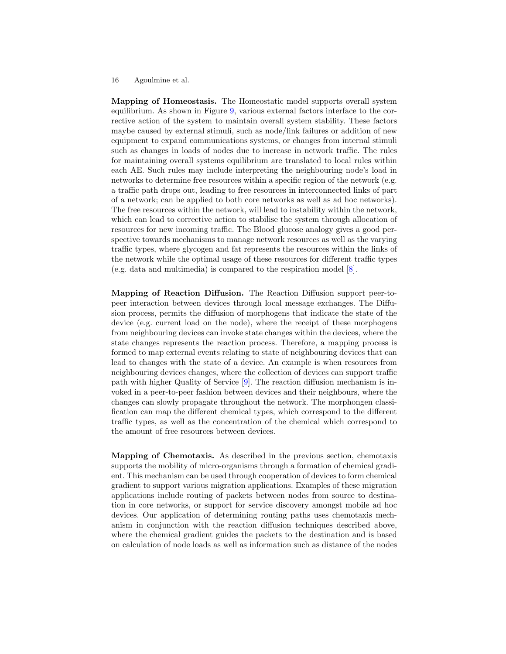Mapping of Homeostasis. The Homeostatic model supports overall system equilibrium. As shown in Figure [9,](#page-16-0) various external factors interface to the corrective action of the system to maintain overall system stability. These factors maybe caused by external stimuli, such as node/link failures or addition of new equipment to expand communications systems, or changes from internal stimuli such as changes in loads of nodes due to increase in network traffic. The rules for maintaining overall systems equilibrium are translated to local rules within each AE. Such rules may include interpreting the neighbouring node's load in networks to determine free resources within a specific region of the network (e.g. a traffic path drops out, leading to free resources in interconnected links of part of a network; can be applied to both core networks as well as ad hoc networks). The free resources within the network, will lead to instability within the network, which can lead to corrective action to stabilise the system through allocation of resources for new incoming traffic. The Blood glucose analogy gives a good perspective towards mechanisms to manage network resources as well as the varying traffic types, where glycogen and fat represents the resources within the links of the network while the optimal usage of these resources for different traffic types (e.g. data and multimedia) is compared to the respiration model [\[8\]](#page-19-6).

Mapping of Reaction Diffusion. The Reaction Diffusion support peer-topeer interaction between devices through local message exchanges. The Diffusion process, permits the diffusion of morphogens that indicate the state of the device (e.g. current load on the node), where the receipt of these morphogens from neighbouring devices can invoke state changes within the devices, where the state changes represents the reaction process. Therefore, a mapping process is formed to map external events relating to state of neighbouring devices that can lead to changes with the state of a device. An example is when resources from neighbouring devices changes, where the collection of devices can support traffic path with higher Quality of Service [\[9\]](#page-19-7). The reaction diffusion mechanism is invoked in a peer-to-peer fashion between devices and their neighbours, where the changes can slowly propagate throughout the network. The morphongen classification can map the different chemical types, which correspond to the different traffic types, as well as the concentration of the chemical which correspond to the amount of free resources between devices.

Mapping of Chemotaxis. As described in the previous section, chemotaxis supports the mobility of micro-organisms through a formation of chemical gradient. This mechanism can be used through cooperation of devices to form chemical gradient to support various migration applications. Examples of these migration applications include routing of packets between nodes from source to destination in core networks, or support for service discovery amongst mobile ad hoc devices. Our application of determining routing paths uses chemotaxis mechanism in conjunction with the reaction diffusion techniques described above, where the chemical gradient guides the packets to the destination and is based on calculation of node loads as well as information such as distance of the nodes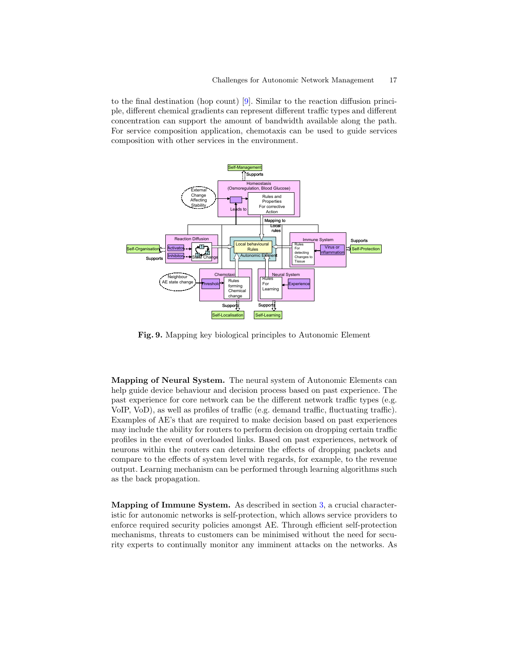to the final destination (hop count) [\[9\]](#page-19-7). Similar to the reaction diffusion principle, different chemical gradients can represent different traffic types and different concentration can support the amount of bandwidth available along the path. For service composition application, chemotaxis can be used to guide services composition with other services in the environment.



<span id="page-16-0"></span>Fig. 9. Mapping key biological principles to Autonomic Element

Mapping of Neural System. The neural system of Autonomic Elements can help guide device behaviour and decision process based on past experience. The past experience for core network can be the different network traffic types (e.g. VoIP, VoD), as well as profiles of traffic (e.g. demand traffic, fluctuating traffic). Examples of AE's that are required to make decision based on past experiences may include the ability for routers to perform decision on dropping certain traffic profiles in the event of overloaded links. Based on past experiences, network of neurons within the routers can determine the effects of dropping packets and compare to the effects of system level with regards, for example, to the revenue output. Learning mechanism can be performed through learning algorithms such as the back propagation.

Mapping of Immune System. As described in section [3,](#page-3-0) a crucial characteristic for autonomic networks is self-protection, which allows service providers to enforce required security policies amongst AE. Through efficient self-protection mechanisms, threats to customers can be minimised without the need for security experts to continually monitor any imminent attacks on the networks. As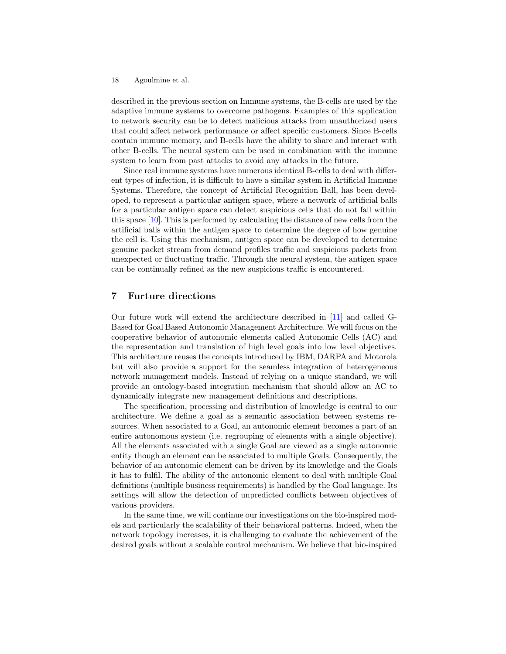described in the previous section on Immune systems, the B-cells are used by the adaptive immune systems to overcome pathogens. Examples of this application to network security can be to detect malicious attacks from unauthorized users that could affect network performance or affect specific customers. Since B-cells contain immune memory, and B-cells have the ability to share and interact with other B-cells. The neural system can be used in combination with the immune system to learn from past attacks to avoid any attacks in the future.

Since real immune systems have numerous identical B-cells to deal with different types of infection, it is difficult to have a similar system in Artificial Immune Systems. Therefore, the concept of Artificial Recognition Ball, has been developed, to represent a particular antigen space, where a network of artificial balls for a particular antigen space can detect suspicious cells that do not fall within this space [\[10\]](#page-19-8). This is performed by calculating the distance of new cells from the artificial balls within the antigen space to determine the degree of how genuine the cell is. Using this mechanism, antigen space can be developed to determine genuine packet stream from demand profiles traffic and suspicious packets from unexpected or fluctuating traffic. Through the neural system, the antigen space can be continually refined as the new suspicious traffic is encountered.

# 7 Furture directions

Our future work will extend the architecture described in [\[11\]](#page-19-9) and called G-Based for Goal Based Autonomic Management Architecture. We will focus on the cooperative behavior of autonomic elements called Autonomic Cells (AC) and the representation and translation of high level goals into low level objectives. This architecture reuses the concepts introduced by IBM, DARPA and Motorola but will also provide a support for the seamless integration of heterogeneous network management models. Instead of relying on a unique standard, we will provide an ontology-based integration mechanism that should allow an AC to dynamically integrate new management definitions and descriptions.

The specification, processing and distribution of knowledge is central to our architecture. We define a goal as a semantic association between systems resources. When associated to a Goal, an autonomic element becomes a part of an entire autonomous system (i.e. regrouping of elements with a single objective). All the elements associated with a single Goal are viewed as a single autonomic entity though an element can be associated to multiple Goals. Consequently, the behavior of an autonomic element can be driven by its knowledge and the Goals it has to fulfil. The ability of the autonomic element to deal with multiple Goal definitions (multiple business requirements) is handled by the Goal language. Its settings will allow the detection of unpredicted conflicts between objectives of various providers.

In the same time, we will continue our investigations on the bio-inspired models and particularly the scalability of their behavioral patterns. Indeed, when the network topology increases, it is challenging to evaluate the achievement of the desired goals without a scalable control mechanism. We believe that bio-inspired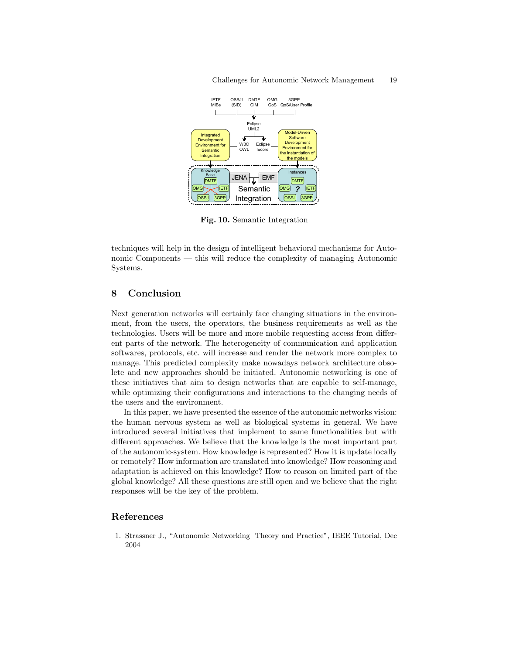

Fig. 10. Semantic Integration

techniques will help in the design of intelligent behavioral mechanisms for Autonomic Components — this will reduce the complexity of managing Autonomic Systems.

# 8 Conclusion

Next generation networks will certainly face changing situations in the environment, from the users, the operators, the business requirements as well as the technologies. Users will be more and more mobile requesting access from different parts of the network. The heterogeneity of communication and application softwares, protocols, etc. will increase and render the network more complex to manage. This predicted complexity make nowadays network architecture obsolete and new approaches should be initiated. Autonomic networking is one of these initiatives that aim to design networks that are capable to self-manage, while optimizing their configurations and interactions to the changing needs of the users and the environment.

In this paper, we have presented the essence of the autonomic networks vision: the human nervous system as well as biological systems in general. We have introduced several initiatives that implement to same functionalities but with different approaches. We believe that the knowledge is the most important part of the autonomic-system. How knowledge is represented? How it is update locally or remotely? How information are translated into knowledge? How reasoning and adaptation is achieved on this knowledge? How to reason on limited part of the global knowledge? All these questions are still open and we believe that the right responses will be the key of the problem.

# References

<span id="page-18-0"></span>1. Strassner J., "Autonomic Networking Theory and Practice", IEEE Tutorial, Dec 2004